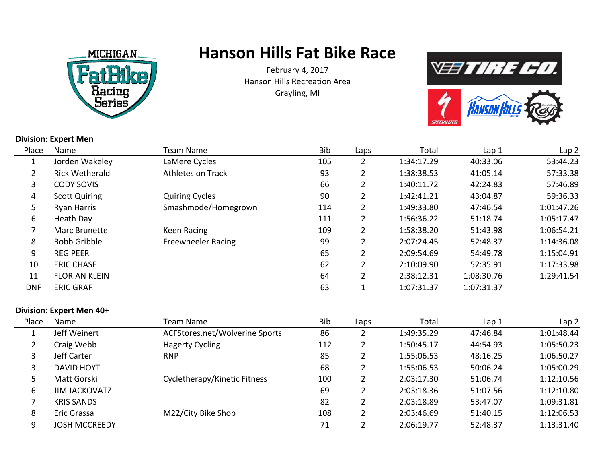

# **Hanson Hills Fat Bike Race**

February 4, 2017 Hanson Hills Recreation AreaGrayling, MI



**SPECIALIZE** 

#### **Division: Expert Men**

|            | ווטומו וואסונות וויוטונ |                           |     |                       |            |            |                  |
|------------|-------------------------|---------------------------|-----|-----------------------|------------|------------|------------------|
| Place      | Name                    | Team Name                 | Bib | Laps                  | Total      | Lap 1      | Lap <sub>2</sub> |
| 1          | Jorden Wakeley          | LaMere Cycles             | 105 |                       | 1:34:17.29 | 40:33.06   | 53:44.23         |
|            | <b>Rick Wetherald</b>   | <b>Athletes on Track</b>  | 93  |                       | 1:38:38.53 | 41:05.14   | 57:33.38         |
| 3          | <b>CODY SOVIS</b>       |                           | 66  |                       | 1:40:11.72 | 42:24.83   | 57:46.89         |
| 4          | <b>Scott Quiring</b>    | <b>Quiring Cycles</b>     | 90  | $\overline{2}$        | 1:42:41.21 | 43:04.87   | 59:36.33         |
| 5          | <b>Ryan Harris</b>      | Smashmode/Homegrown       | 114 | $\mathbf{2}$          | 1:49:33.80 | 47:46.54   | 1:01:47.26       |
| 6          | Heath Day               |                           | 111 | $\mathbf{2}^{\prime}$ | 1:56:36.22 | 51:18.74   | 1:05:17.47       |
|            | Marc Brunette           | Keen Racing               | 109 | $\mathbf{2}^{\prime}$ | 1:58:38.20 | 51:43.98   | 1:06:54.21       |
| 8          | Robb Gribble            | <b>Freewheeler Racing</b> | 99  |                       | 2:07:24.45 | 52:48.37   | 1:14:36.08       |
| 9          | <b>REG PEER</b>         |                           | 65  | $\mathbf{2}^{\prime}$ | 2:09:54.69 | 54:49.78   | 1:15:04.91       |
| 10         | <b>ERIC CHASE</b>       |                           | 62  |                       | 2:10:09.90 | 52:35.91   | 1:17:33.98       |
| 11         | <b>FLORIAN KLEIN</b>    |                           | 64  |                       | 2:38:12.31 | 1:08:30.76 | 1:29:41.54       |
| <b>DNF</b> | <b>ERIC GRAF</b>        |                           | 63  |                       | 1:07:31.37 | 1:07:31.37 |                  |

#### **Division: Expert Men 40+**

| Place | Name                 | Team Name                      | <b>Bib</b> | Laps | Total      | Lap 1    | Lap <sub>2</sub> |
|-------|----------------------|--------------------------------|------------|------|------------|----------|------------------|
|       | Jeff Weinert         | ACFStores.net/Wolverine Sports | 86         |      | 1:49:35.29 | 47:46.84 | 1:01:48.44       |
| 2     | Craig Webb           | <b>Hagerty Cycling</b>         | 112        |      | 1:50:45.17 | 44:54.93 | 1:05:50.23       |
| 3     | Jeff Carter          | <b>RNP</b>                     | 85         |      | 1:55:06.53 | 48:16.25 | 1:06:50.27       |
| 3     | <b>DAVID HOYT</b>    |                                | 68         |      | 1:55:06.53 | 50:06.24 | 1:05:00.29       |
|       | Matt Gorski          | Cycletherapy/Kinetic Fitness   | 100        |      | 2:03:17.30 | 51:06.74 | 1:12:10.56       |
| 6     | <b>JIM JACKOVATZ</b> |                                | 69         |      | 2:03:18.36 | 51:07.56 | 1:12:10.80       |
|       | <b>KRIS SANDS</b>    |                                | 82         |      | 2:03:18.89 | 53:47.07 | 1:09:31.81       |
| 8     | Eric Grassa          | M22/City Bike Shop             | 108        |      | 2:03:46.69 | 51:40.15 | 1:12:06.53       |
| 9     | <b>JOSH MCCREEDY</b> |                                | 71         |      | 2:06:19.77 | 52:48.37 | 1:13:31.40       |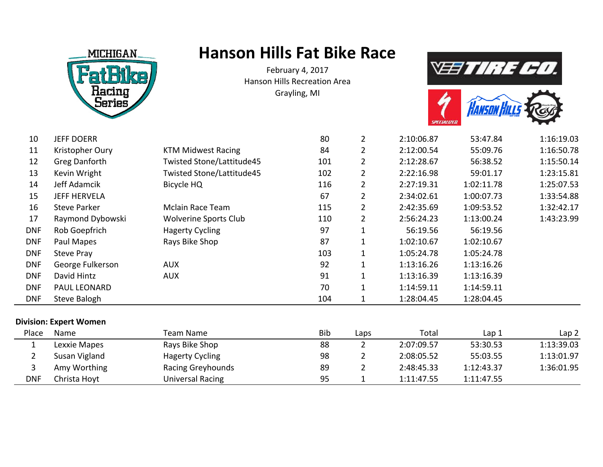

Christa Hoyt **Universal Racing** 

DNF

### **Hanson Hills Fat Bike Race**

February 4, 2017 Hanson Hills Recreation AreaGrayling, MI





| 10                    | <b>JEFF DOERR</b>      |                              | 80  | $\overline{2}$ | 2:10:06.87 | 53:47.84   | 1:16:19.03       |
|-----------------------|------------------------|------------------------------|-----|----------------|------------|------------|------------------|
| 11                    | Kristopher Oury        | <b>KTM Midwest Racing</b>    | 84  | $\overline{2}$ | 2:12:00.54 | 55:09.76   | 1:16:50.78       |
| 12                    | <b>Greg Danforth</b>   | Twisted Stone/Lattitude45    | 101 | 2              | 2:12:28.67 | 56:38.52   | 1:15:50.14       |
| 13                    | Kevin Wright           | Twisted Stone/Lattitude45    | 102 | $\overline{2}$ | 2:22:16.98 | 59:01.17   | 1:23:15.81       |
| 14                    | Jeff Adamcik           | Bicycle HQ                   | 116 | $\overline{2}$ | 2:27:19.31 | 1:02:11.78 | 1:25:07.53       |
| 15                    | <b>JEFF HERVELA</b>    |                              | 67  | $\mathbf{2}$   | 2:34:02.61 | 1:00:07.73 | 1:33:54.88       |
| 16                    | <b>Steve Parker</b>    | Mclain Race Team             | 115 | $\overline{2}$ | 2:42:35.69 | 1:09:53.52 | 1:32:42.17       |
| 17                    | Raymond Dybowski       | <b>Wolverine Sports Club</b> | 110 | $\overline{2}$ | 2:56:24.23 | 1:13:00.24 | 1:43:23.99       |
| <b>DNF</b>            | Rob Goepfrich          | <b>Hagerty Cycling</b>       | 97  |                | 56:19.56   | 56:19.56   |                  |
| <b>DNF</b>            | Paul Mapes             | Rays Bike Shop               | 87  | 1              | 1:02:10.67 | 1:02:10.67 |                  |
| <b>DNF</b>            | Steve Pray             |                              | 103 |                | 1:05:24.78 | 1:05:24.78 |                  |
| <b>DNF</b>            | George Fulkerson       | <b>AUX</b>                   | 92  |                | 1:13:16.26 | 1:13:16.26 |                  |
| <b>DNF</b>            | David Hintz            | <b>AUX</b>                   | 91  |                | 1:13:16.39 | 1:13:16.39 |                  |
| <b>DNF</b>            | PAUL LEONARD           |                              | 70  |                | 1:14:59.11 | 1:14:59.11 |                  |
| <b>DNF</b>            | Steve Balogh           |                              | 104 | 1              | 1:28:04.45 | 1:28:04.45 |                  |
|                       | Division: Expert Women |                              |     |                |            |            |                  |
| Place                 | Name                   | <b>Team Name</b>             | Bib | Laps           | Total      | Lap 1      | Lap <sub>2</sub> |
| 1                     | Lexxie Mapes           | Rays Bike Shop               | 88  | $\mathbf{2}$   | 2:07:09.57 | 53:30.53   | 1:13:39.03       |
| $\mathbf{2}^{\prime}$ | Susan Vigland          | <b>Hagerty Cycling</b>       | 98  | $\overline{2}$ | 2:08:05.52 | 55:03.55   | 1:13:01.97       |
| 3                     | Amy Worthing           | Racing Greyhounds            | 89  | $\overline{2}$ | 2:48:45.33 | 1:12:43.37 | 1:36:01.95       |

Amy Worthing Racing Greyhounds <sup>89</sup> 2 2:48:45.33 1:12:43.37 1:36:01.95

1 1:11:47.55 1:11:47.55

8 95